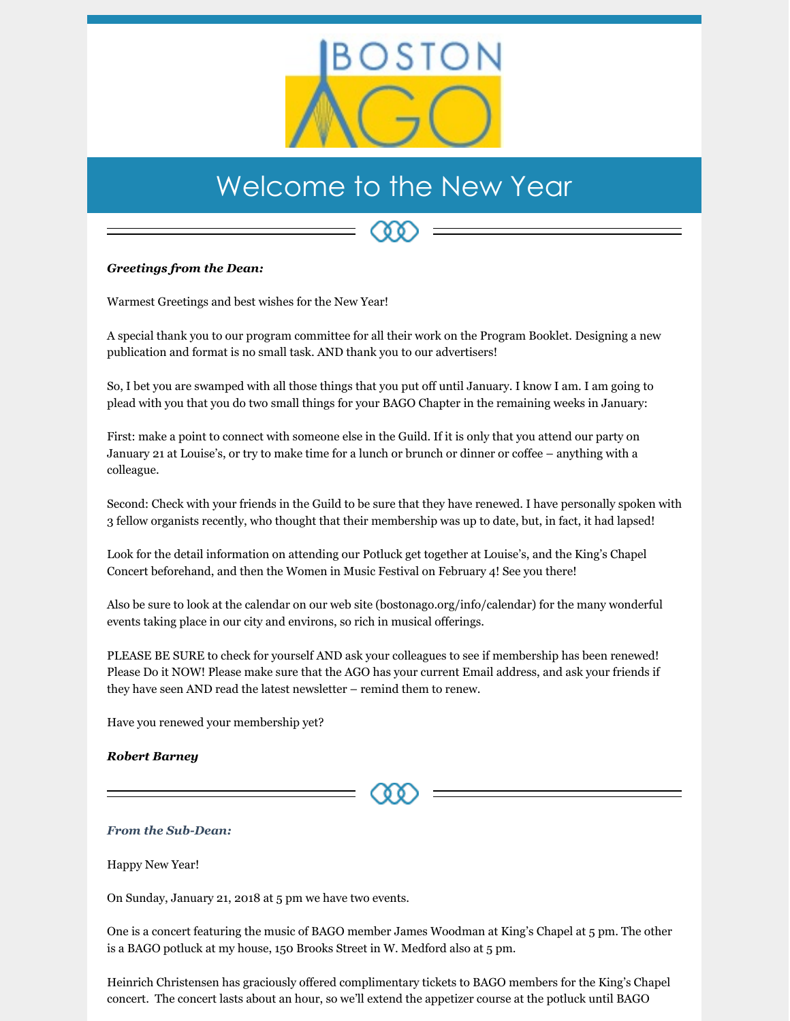

## Welcome to the New Year

## *Greetings from the Dean:*

Warmest Greetings and best wishes for the New Year!

A special thank you to our program committee for all their work on the Program Booklet. Designing a new publication and format is no small task. AND thank you to our advertisers!

So, I bet you are swamped with all those things that you put off until January. I know I am. I am going to plead with you that you do two small things for your BAGO Chapter in the remaining weeks in January:

First: make a point to connect with someone else in the Guild. If it is only that you attend our party on January 21 at Louise's, or try to make time for a lunch or brunch or dinner or coffee – anything with a colleague.

Second: Check with your friends in the Guild to be sure that they have renewed. I have personally spoken with 3 fellow organists recently, who thought that their membership was up to date, but, in fact, it had lapsed!

Look for the detail information on attending our Potluck get together at Louise's, and the King's Chapel Concert beforehand, and then the Women in Music Festival on February 4! See you there!

Also be sure to look at the calendar on our web site (bostonago.org/info/calendar) for the many wonderful events taking place in our city and environs, so rich in musical offerings.

PLEASE BE SURE to check for yourself AND ask your colleagues to see if membership has been renewed! Please Do it NOW! Please make sure that the AGO has your current Email address, and ask your friends if they have seen AND read the latest newsletter – remind them to renew.

Have you renewed your membership yet?

## *Robert Barney*

## *From the Sub-Dean:*

Happy New Year!

On Sunday, January 21, 2018 at 5 pm we have two events.

One is a concert featuring the music of BAGO member James Woodman at King's Chapel at 5 pm. The other is a BAGO potluck at my house, 150 Brooks Street in W. Medford also at 5 pm.

Heinrich Christensen has graciously offered complimentary tickets to BAGO members for the King's Chapel concert. The concert lasts about an hour, so we'll extend the appetizer course at the potluck until BAGO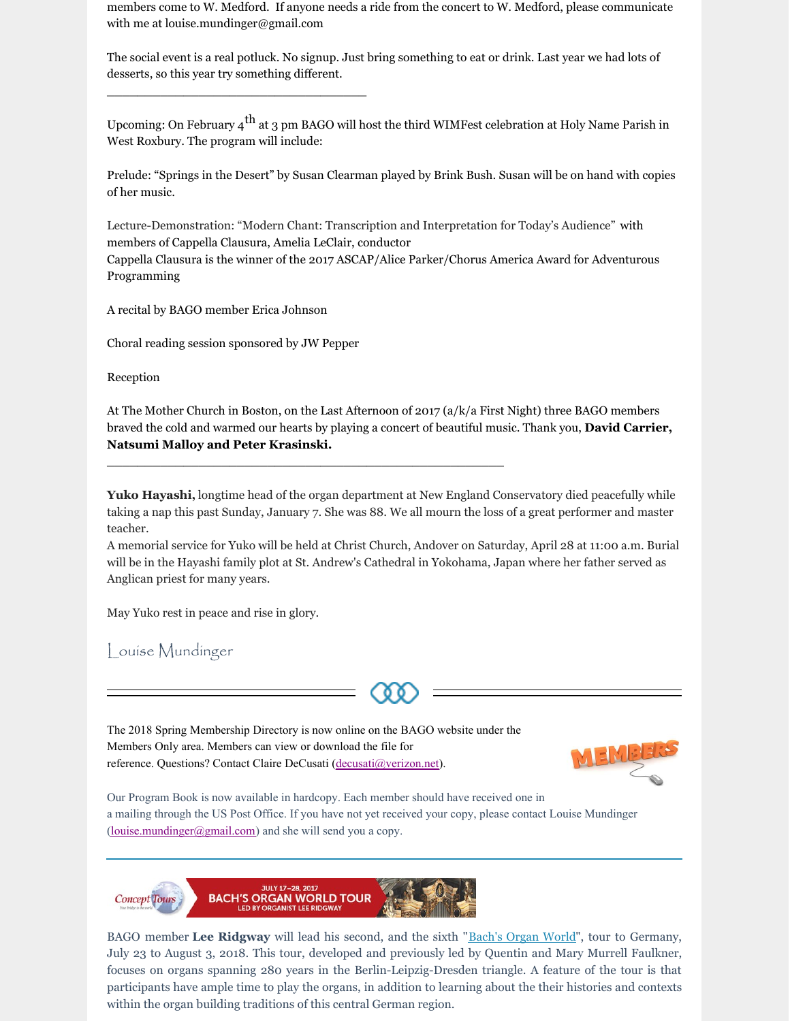members come to W. Medford. If anyone needs a ride from the concert to W. Medford, please communicate with me at louise.mundinger@gmail.com

The social event is a real potluck. No signup. Just bring something to eat or drink. Last year we had lots of desserts, so this year try something different.

Upcoming: On February 4 $^{\rm th}$  at 3 pm BAGO will host the third WIMFest celebration at Holy Name Parish in West Roxbury. The program will include:

Prelude: "Springs in the Desert" by Susan Clearman played by Brink Bush. Susan will be on hand with copies of her music.

Lecture-Demonstration: "Modern Chant: Transcription and Interpretation for Today's Audience" with members of Cappella Clausura, Amelia LeClair, conductor Cappella Clausura is the winner of the 2017 ASCAP/Alice Parker/Chorus America Award for Adventurous Programming

A recital by BAGO member Erica Johnson

Choral reading session sponsored by JW Pepper

\_\_\_\_\_\_\_\_\_\_\_\_\_\_\_\_\_\_\_\_\_\_\_\_\_\_\_\_\_\_\_\_\_\_

Reception

At The Mother Church in Boston, on the Last Afternoon of 2017 (a/k/a First Night) three BAGO members braved the cold and warmed our hearts by playing a concert of beautiful music. Thank you, **David Carrier, Natsumi Malloy and Peter Krasinski.**

**Yuko Hayashi,** longtime head of the organ department at New England Conservatory died peacefully while taking a nap this past Sunday, January 7. She was 88. We all mourn the loss of a great performer and master teacher.

A memorial service for Yuko will be held at Christ Church, Andover on Saturday, April 28 at 11:00 a.m. Burial will be in the Hayashi family plot at St. Andrew's Cathedral in Yokohama, Japan where her father served as Anglican priest for many years.

May Yuko rest in peace and rise in glory.

Louise Mundinger



The 2018 Spring Membership Directory is now online on the BAGO website under the Members Only area. Members can view or download the file for reference. Questions? Contact Claire DeCusati [\(decusati@verizon.net](mailto:decusati@verizon.net)).

\_\_\_\_\_\_\_\_\_\_\_\_\_\_\_\_\_\_\_\_\_\_\_\_\_\_\_\_\_\_\_\_\_\_\_\_\_\_\_\_\_\_\_\_\_\_\_\_\_\_\_\_



Our Program Book is now available in hardcopy. Each member should have received one in a mailing through the US Post Office. If you have not yet received your copy, please contact Louise Mundinger [\(louise.mundinger@gmail.com](mailto:louise.mundinger@gmail.com)) and she will send you a copy.



BAGO member **Lee Ridgway** will lead his second, and the sixth "[Bach's](https://concept-tours.com/wp-content/uploads/2017/10/Bachs-Organ-World-Itin-2018-1.pdf) Organ World", tour to Germany, July 23 to August 3, 2018. This tour, developed and previously led by Quentin and Mary Murrell Faulkner, focuses on organs spanning 280 years in the Berlin-Leipzig-Dresden triangle. A feature of the tour is that participants have ample time to play the organs, in addition to learning about the their histories and contexts within the organ building traditions of this central German region.